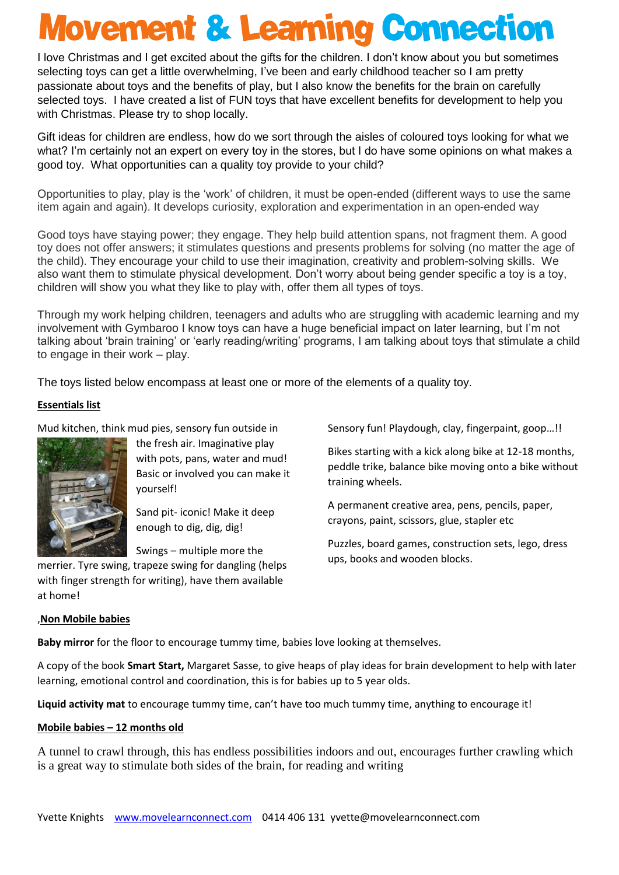## **Movement & Learning Connection**

I love Christmas and I get excited about the gifts for the children. I don't know about you but sometimes selecting toys can get a little overwhelming, I've been and early childhood teacher so I am pretty passionate about toys and the benefits of play, but I also know the benefits for the brain on carefully selected toys. I have created a list of FUN toys that have excellent benefits for development to help you with Christmas. Please try to shop locally.

Gift ideas for children are endless, how do we sort through the aisles of coloured toys looking for what we what? I'm certainly not an expert on every toy in the stores, but I do have some opinions on what makes a good toy. What opportunities can a quality toy provide to your child?

Opportunities to play, play is the 'work' of children, it must be open-ended (different ways to use the same item again and again). It develops curiosity, exploration and experimentation in an open-ended way

Good toys have staying power; they engage. They help build attention spans, not fragment them. A good toy does not offer answers; it stimulates questions and presents problems for solving (no matter the age of the child). They encourage your child to use their imagination, creativity and problem-solving skills. We also want them to stimulate physical development. Don't worry about being gender specific a toy is a toy, children will show you what they like to play with, offer them all types of toys.

Through my work helping children, teenagers and adults who are struggling with academic learning and my involvement with Gymbaroo I know toys can have a huge beneficial impact on later learning, but I'm not talking about 'brain training' or 'early reading/writing' programs, I am talking about toys that stimulate a child to engage in their work – play.

The toys listed below encompass at least one or more of the elements of a quality toy.

## **Essentials list**

Mud kitchen, think mud pies, sensory fun outside in



the fresh air. Imaginative play with pots, pans, water and mud! Basic or involved you can make it yourself!

Sand pit- iconic! Make it deep enough to dig, dig, dig!

Swings – multiple more the

merrier. Tyre swing, trapeze swing for dangling (helps with finger strength for writing), have them available at home!

Sensory fun! Playdough, clay, fingerpaint, goop…!!

Bikes starting with a kick along bike at 12-18 months, peddle trike, balance bike moving onto a bike without training wheels.

A permanent creative area, pens, pencils, paper, crayons, paint, scissors, glue, stapler etc

Puzzles, board games, construction sets, lego, dress ups, books and wooden blocks.

#### ,**Non Mobile babies**

**Baby mirror** for the floor to encourage tummy time, babies love looking at themselves.

A copy of the book **Smart Start,** Margaret Sasse, to give heaps of play ideas for brain development to help with later learning, emotional control and coordination, this is for babies up to 5 year olds.

**Liquid activity mat** to encourage tummy time, can't have too much tummy time, anything to encourage it!

#### **Mobile babies – 12 months old**

A tunnel to crawl through, this has endless possibilities indoors and out, encourages further crawling which is a great way to stimulate both sides of the brain, for reading and writing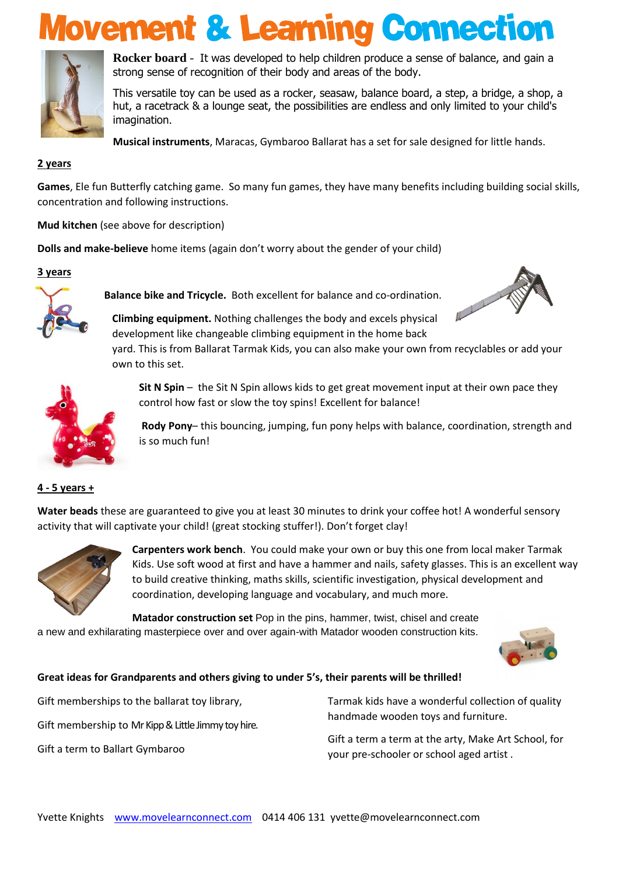## **Movement & Learning Connection**



**Rocker board** - It was developed to help children produce a sense of balance, and gain a strong sense of recognition of their body and areas of the body.

This versatile toy can be used as a rocker, seasaw, balance board, a step, a bridge, a shop, a hut, a racetrack & a lounge seat, the possibilities are endless and only limited to your child's imagination.

**Musical instruments**, Maracas, Gymbaroo Ballarat has a set for sale designed for little hands.

#### **2 years**

**Games**, Ele fun Butterfly catching game. So many fun games, they have many benefits including building social skills, concentration and following instructions.

**Mud kitchen** (see above for description)

**Dolls and make-believe** home items (again don't worry about the gender of your child)

## **3 years**



**Balance bike and Tricycle.** Both excellent for balance and co-ordination.



**Climbing equipment.** Nothing challenges the body and excels physical development like changeable climbing equipment in the home back

yard. This is from Ballarat Tarmak Kids, you can also make your own from recyclables or add your own to this set.



**Sit N [Spin](http://www.amazon.com/gp/product/B00B2D5RB6/ref=as_li_qf_sp_asin_il_tl?ie=UTF8&camp=1789&creative=9325&creativeASIN=B00B2D5RB6&linkCode=as2&tag=theinsptree0f-20)** – the Sit N Spin allows kids to get great movement input at their own pace they control how fast or slow the toy spins! Excellent for balance!

**[Rody](http://www.amazon.com/gp/product/B000XSAZUO/ref=as_li_qf_sp_asin_il_tl?ie=UTF8&camp=1789&creative=9325&creativeASIN=B000XSAZUO&linkCode=as2&tag=theinsptree0f-20) Pony**– this bouncing, jumping, fun pony helps with balance, coordination, strength and is so much fun!

#### **4 - 5 years +**

**Water beads** these are guaranteed to give you at least 30 minutes to drink your coffee hot! A wonderful sensory activity that will captivate your child! (great stocking stuffer!). Don't forget clay!



**Carpenters work bench**. You could make your own or buy this one from local maker Tarmak Kids. Use soft wood at first and have a hammer and nails, safety glasses. This is an excellent way to build creative thinking, maths skills, scientific investigation, physical development and coordination, developing language and vocabulary, and much more.

**Matador construction set** Pop in the pins, hammer, twist, chisel and create a new and exhilarating masterpiece over and over again-with Matador wooden construction kits.



## **Great ideas for Grandparents and others giving to under 5's, their parents will be thrilled!**

Gift memberships to the ballarat toy library,

Gift membership to Mr Kipp & Little Jimmy toy hire.

Gift a term to Ballart Gymbaroo

Tarmak kids have a wonderful collection of quality handmade wooden toys and furniture.

Gift a term a term at the arty, Make Art School, for your pre-schooler or school aged artist .